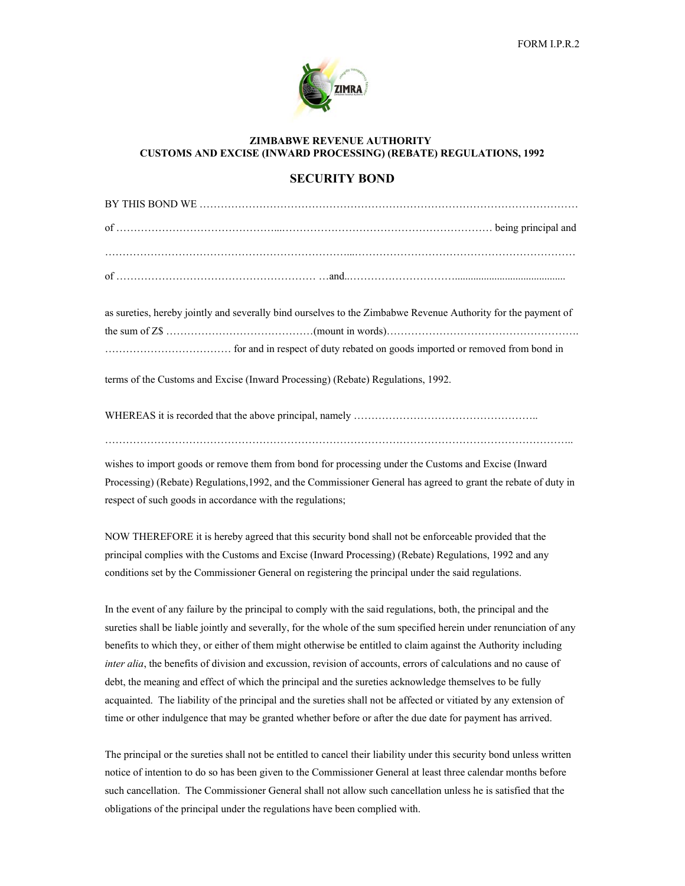

## **ZIMBABWE REVENUE AUTHORITY CUSTOMS AND EXCISE (INWARD PROCESSING) (REBATE) REGULATIONS, 1992**

## **SECURITY BOND**

as sureties, hereby jointly and severally bind ourselves to the Zimbabwe Revenue Authority for the payment of the sum of Z\$ ……………………………………(mount in words)………………………………………………. ……………………………… for and in respect of duty rebated on goods imported or removed from bond in

terms of the Customs and Excise (Inward Processing) (Rebate) Regulations, 1992.

WHEREAS it is recorded that the above principal, namely ………………………………………………………………

……………………………………………………………………………………………………………………..

wishes to import goods or remove them from bond for processing under the Customs and Excise (Inward Processing) (Rebate) Regulations,1992, and the Commissioner General has agreed to grant the rebate of duty in respect of such goods in accordance with the regulations;

NOW THEREFORE it is hereby agreed that this security bond shall not be enforceable provided that the principal complies with the Customs and Excise (Inward Processing) (Rebate) Regulations, 1992 and any conditions set by the Commissioner General on registering the principal under the said regulations.

In the event of any failure by the principal to comply with the said regulations, both, the principal and the sureties shall be liable jointly and severally, for the whole of the sum specified herein under renunciation of any benefits to which they, or either of them might otherwise be entitled to claim against the Authority including *inter alia*, the benefits of division and excussion, revision of accounts, errors of calculations and no cause of debt, the meaning and effect of which the principal and the sureties acknowledge themselves to be fully acquainted. The liability of the principal and the sureties shall not be affected or vitiated by any extension of time or other indulgence that may be granted whether before or after the due date for payment has arrived.

The principal or the sureties shall not be entitled to cancel their liability under this security bond unless written notice of intention to do so has been given to the Commissioner General at least three calendar months before such cancellation. The Commissioner General shall not allow such cancellation unless he is satisfied that the obligations of the principal under the regulations have been complied with.